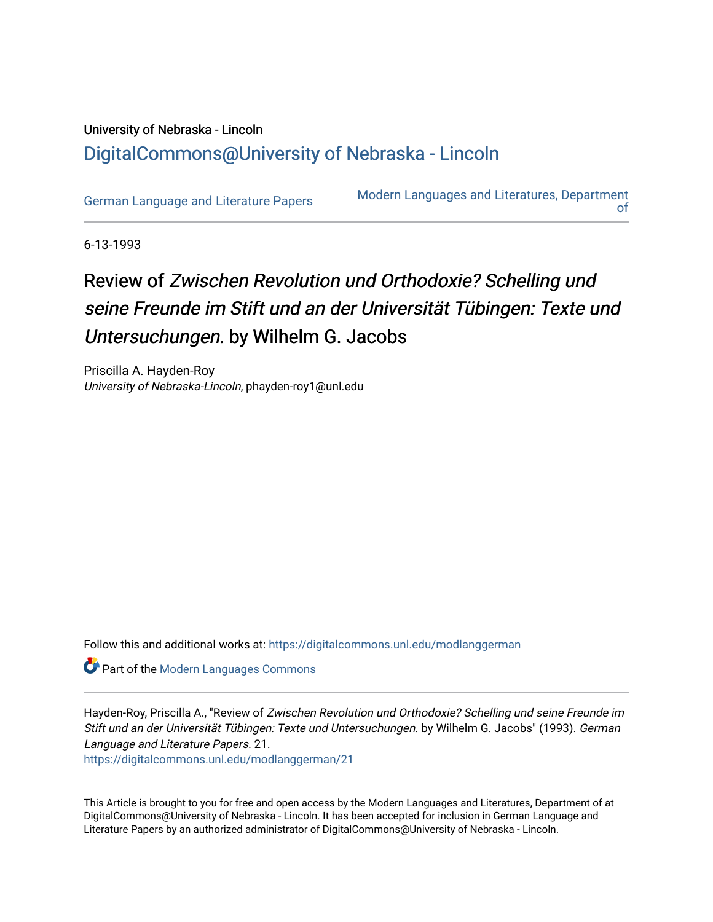## University of Nebraska - Lincoln [DigitalCommons@University of Nebraska - Lincoln](https://digitalcommons.unl.edu/)

[German Language and Literature Papers](https://digitalcommons.unl.edu/modlanggerman) Modern Languages and Literatures, Department [of](https://digitalcommons.unl.edu/modernlanguages) 

6-13-1993

## Review of Zwischen Revolution und Orthodoxie? Schelling und seine Freunde im Stift und an der Universität Tübingen: Texte und Untersuchungen. by Wilhelm G. Jacobs

Priscilla A. Hayden-Roy University of Nebraska-Lincoln, phayden-roy1@unl.edu

Follow this and additional works at: [https://digitalcommons.unl.edu/modlanggerman](https://digitalcommons.unl.edu/modlanggerman?utm_source=digitalcommons.unl.edu%2Fmodlanggerman%2F21&utm_medium=PDF&utm_campaign=PDFCoverPages) 

**Part of the Modern Languages Commons** 

Hayden-Roy, Priscilla A., "Review of Zwischen Revolution und Orthodoxie? Schelling und seine Freunde im Stift und an der Universität Tübingen: Texte und Untersuchungen. by Wilhelm G. Jacobs" (1993). German Language and Literature Papers. 21.

[https://digitalcommons.unl.edu/modlanggerman/21](https://digitalcommons.unl.edu/modlanggerman/21?utm_source=digitalcommons.unl.edu%2Fmodlanggerman%2F21&utm_medium=PDF&utm_campaign=PDFCoverPages)

This Article is brought to you for free and open access by the Modern Languages and Literatures, Department of at DigitalCommons@University of Nebraska - Lincoln. It has been accepted for inclusion in German Language and Literature Papers by an authorized administrator of DigitalCommons@University of Nebraska - Lincoln.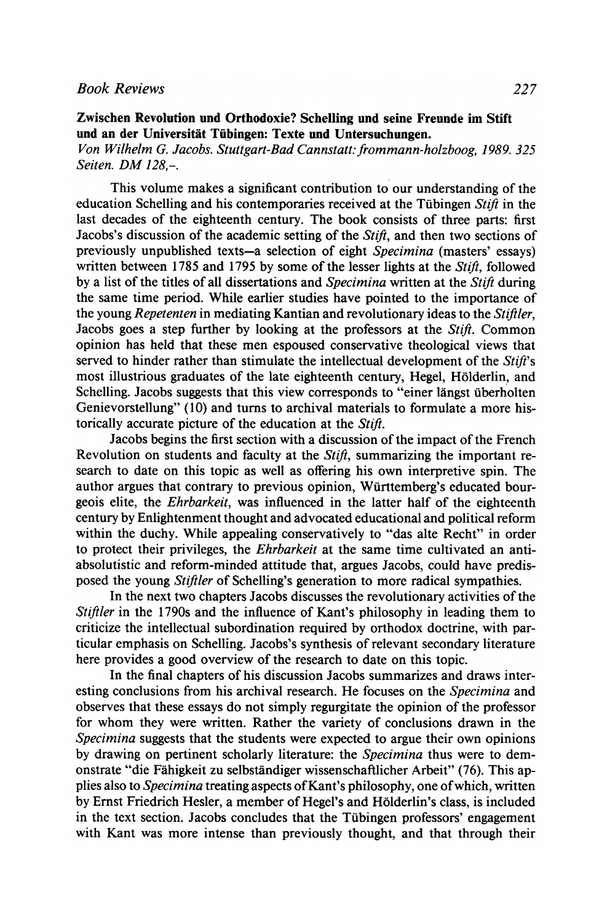Von Wilhelm *G.* Jacobs. Stuttgart-Bad Cannstatt: frommann-holzboog, 1989. 325 Seiten. DM 128,-.

This volume makes a significant contribution to our understanding of the education Schelling and his contemporaries received at the Tübingen Stift in the last decades of the eighteenth century. The book consists of three parts: first Jacobs's discussion of the academic setting of the  $Stift$ , and then two sections of previously unpublished texts-a selection of eight Specimina (masters' essays) written between 1785 and 1795 by some of the lesser lights at the  $Stift$ , followed by a list of the titles of all dissertations and Specimina written at the Stift during the same time period. While earlier studies have pointed to the importance of the young *Repetenten* in mediating Kantian and revolutionary ideas to the *Stiftler*, Jacobs goes a step further by looking at the professors at the Stift. Common opinion has held that these men espoused conservative theological views that served to hinder rather than stimulate the intellectual development of the Stift's most illustrious graduates of the late eighteenth century, Hegel, Holderlin, and Schelling. Jacobs suggests that this view corresponds to "einer längst überholten" Genievorstellung" (10) and turns to archival materials to formulate a more historically accurate picture of the education at the Stift.

Jacobs begins the first section with a discussion of the impact of the French Revolution on students and faculty at the *Stift*, summarizing the important research to date on this topic as well as offering his own interpretive spin. The author argues that contrary to previous opinion, Wiirttemberg's educated bourgeois elite, the Ehrbarkeit, was influenced in the latter half of the eighteenth century by Enlightenment thought and advocated educational and political reform within the duchy. While appealing conservatively to "das alte Recht" in order to protect their privileges, the *Ehrbarkeit* at the same time cultivated an antiabsolutistic and reform-minded attitude that, argues Jacobs, could have predisposed the young Stiftler of Schelling's generation to more radical sympathies.

In the next two chapters Jacobs discusses the revolutionary activities of the Stiftler in the 1790s and the influence of Kant's philosophy in leading them to criticize the intellectual subordination required by orthodox doctrine, with particular emphasis on Schelling. Jacobs's synthesis of relevant secondary literature here provides a good overview of the research to date on this topic.

In the final chapters of his discussion Jacobs summarizes and draws interesting conclusions from his archival research. He focuses on the Specimina and observes that these essays do not simply regurgitate the opinion of the professor for whom they were written. Rather the variety of conclusions drawn in the Specimina suggests that the students were expected to argue their own opinions by drawing on pertinent scholarly literature: the *Specimina* thus were to demonstrate "die Fahigkeit zu selbstandiger wissenschaftlicher Arbeit" (76). This applies also to Specimina treating aspects of Kant's philosophy, one of which, written by Ernst Friedrich Hesler, a member of Hegel's and Holderlin's class, is included in the text section. Jacobs concludes that the Tübingen professors' engagement with Kant was more intense than previously thought, and that through their